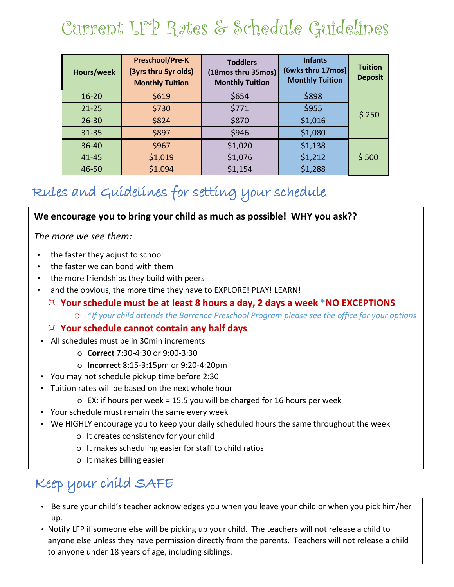# Current LFP Rates & Schedule Guidelines

| Hours/week | <b>Preschool/Pre-K</b><br>(3yrs thru 5yr olds)<br><b>Monthly Tuition</b> | <b>Toddlers</b><br>(18mos thru 35mos)<br><b>Monthly Tuition</b> | <b>Infants</b><br>(6wks thru 17mos)<br><b>Monthly Tuition</b> | <b>Tuition</b><br><b>Deposit</b> |  |  |  |
|------------|--------------------------------------------------------------------------|-----------------------------------------------------------------|---------------------------------------------------------------|----------------------------------|--|--|--|
| $16 - 20$  | \$619                                                                    | \$654                                                           | \$898                                                         |                                  |  |  |  |
| $21 - 25$  | \$730                                                                    | \$771                                                           | \$955                                                         | \$250                            |  |  |  |
| $26 - 30$  | \$824                                                                    | \$870                                                           | \$1,016                                                       |                                  |  |  |  |
| $31 - 35$  | \$897                                                                    | \$946                                                           | \$1,080                                                       |                                  |  |  |  |
| $36 - 40$  | \$967                                                                    | \$1,020                                                         | \$1,138                                                       |                                  |  |  |  |
| $41 - 45$  | \$1,019                                                                  | \$1,076                                                         | \$1,212                                                       | \$500                            |  |  |  |
| 46-50      | \$1,094                                                                  | \$1,154                                                         | \$1,288                                                       |                                  |  |  |  |

### Rules and Guidelines for setting your schedule

#### **We encourage you to bring your child as much as possible! WHY you ask??**

*The more we see them:*

- the faster they adjust to school
- the faster we can bond with them
- the more friendships they build with peers
- and the obvious, the more time they have to EXPLORE! PLAY! LEARN!
	- **Your schedule must be at least 8 hours a day, 2 days a week \*NO EXCEPTIONS**
		- o *\*If your child attends the Barranca Preschool Program please see the office for your options*

#### **Your schedule cannot contain any half days**

- All schedules must be in 30min increments
	- o **Correct** 7:30-4:30 or 9:00-3:30
	- o **Incorrect** 8:15-3:15pm or 9:20-4:20pm
- You may not schedule pickup time before 2:30
- Tuition rates will be based on the next whole hour
	- o EX: if hours per week = 15.5 you will be charged for 16 hours per week
- Your schedule must remain the same every week
- We HIGHLY encourage you to keep your daily scheduled hours the same throughout the week
	- o It creates consistency for your child
	- o It makes scheduling easier for staff to child ratios
	- o It makes billing easier

### Keep your child SAFE

- Be sure your child's teacher acknowledges you when you leave your child or when you pick him/her up.
- Notify LFP if someone else will be picking up your child. The teachers will not release a child to anyone else unless they have permission directly from the parents. Teachers will not release a child to anyone under 18 years of age, including siblings.